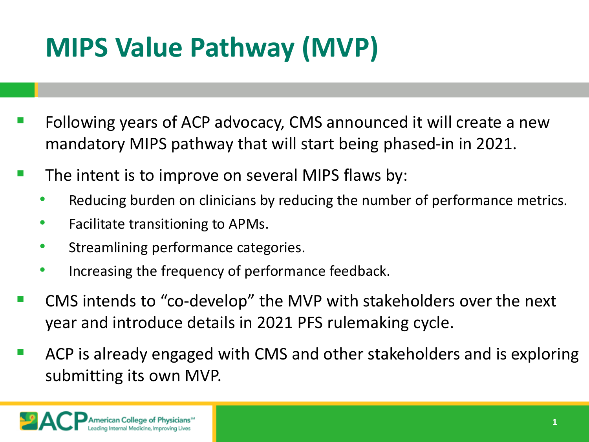## **MIPS Value Pathway (MVP)**

- Following years of ACP advocacy, CMS announced it will create a new mandatory MIPS pathway that will start being phased-in in 2021.
- $\blacksquare$  The intent is to improve on several MIPS flaws by:
	- Reducing burden on clinicians by reducing the number of performance metrics.
	- Facilitate transitioning to APMs.
	- Streamlining performance categories.
	- Increasing the frequency of performance feedback.
- CMS intends to "co-develop" the MVP with stakeholders over the next year and introduce details in 2021 PFS rulemaking cycle.
- ACP is already engaged with CMS and other stakeholders and is exploring submitting its own MVP.

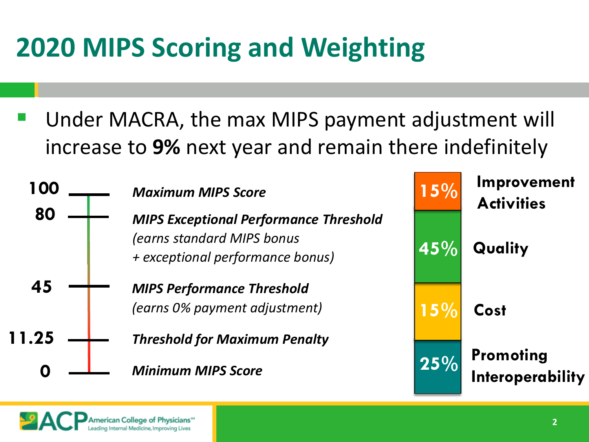### **2020 MIPS Scoring and Weighting**

 Under MACRA, the max MIPS payment adjustment will increase to **9%** next year and remain there indefinitely



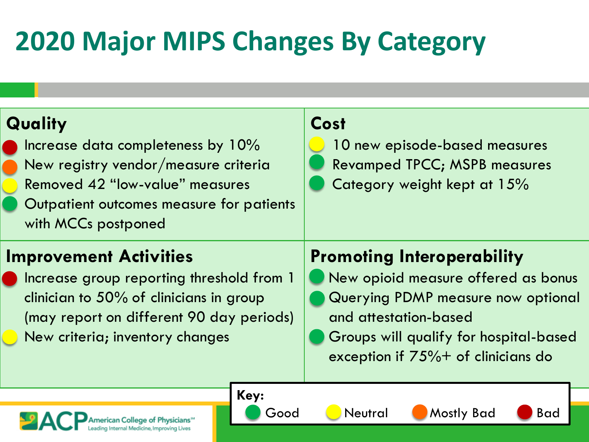# **2020 Major MIPS Changes By Category**

یم

American College of Physicians<sup>®</sup> Internal Medicine, Improving Lives

| Quality<br>Increase data completeness by 10%<br>New registry vendor/measure criteria<br>Removed 42 "low-value" measures<br>Outpatient outcomes measure for patients<br>with MCCs postponed           | Cost<br>10 new episode-based measures<br><b>Revamped TPCC; MSPB measures</b><br>Category weight kept at 15%                                                                                                                 |
|------------------------------------------------------------------------------------------------------------------------------------------------------------------------------------------------------|-----------------------------------------------------------------------------------------------------------------------------------------------------------------------------------------------------------------------------|
| <b>Improvement Activities</b><br>Increase group reporting threshold from 1<br>clinician to 50% of clinicians in group<br>(may report on different 90 day periods)<br>New criteria; inventory changes | <b>Promoting Interoperability</b><br>New opioid measure offered as bonus<br>Querying PDMP measure now optional<br>and attestation-based<br>Groups will qualify for hospital-based<br>exception if $75\%$ + of clinicians do |
| Key:                                                                                                                                                                                                 |                                                                                                                                                                                                                             |

**3**

Good Neutral Mostly Bad Bad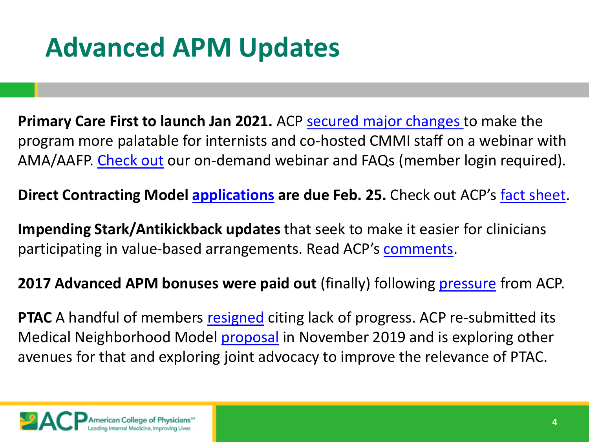### **Advanced APM Updates**

Primary Care First to launch Jan 2021. ACP [secured major changes t](https://www.acponline.org/acp_policy/letters/letter_to_cmmi_on_primary_care_first_model_2019.pdf)o make the program more palatable for internists and co-hosted CMMI staff on a webinar with AMA/AAFP. [Check out](https://www.acponline.org/practice-resources/business-resources/payment/medicare-payment-and-regulations-resources/macra-and-the-quality-payment-program/alternative-payment-models-apms/primary-care-first-model-webinar) our on-demand webinar and FAQs (member login required).

**Direct Contracting Model <b>applications** are due Feb. 25. Check out ACP's <u>fact sheet</u>.

**Impending Stark/Antikickback updates** that seek to make it easier for clinicians participating in value-based arrangements. Read ACP's [comments.](https://www.acponline.org/advocacy/where-we-stand/medicare-and-the-quality-payment-program)

**2017 Advanced APM bonuses were paid out** (finally) following [pressure](https://www.acponline.org/system/files/documents/advocacy/where_we_stand/assets/aapm_bonus_letter_apg_september_2019.pdf) from ACP.

**PTAC** A handful of members [resigned](http://www.chqpr.org/downloads/Miller_Resignation_from_PTAC.pdf) citing lack of progress. ACP re-submitted its Medical Neighborhood Model [proposal](https://www.acponline.org/system/files/documents/advocacy/where_we_stand/assets/medical_neighborhood_aapm_revised_submission_final.pdf) in November 2019 and is exploring other avenues for that and exploring joint advocacy to improve the relevance of PTAC.